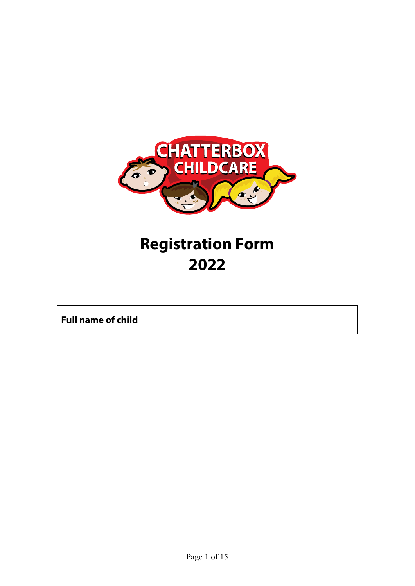

# Registration Form 2022

| Full name of child |
|--------------------|
|--------------------|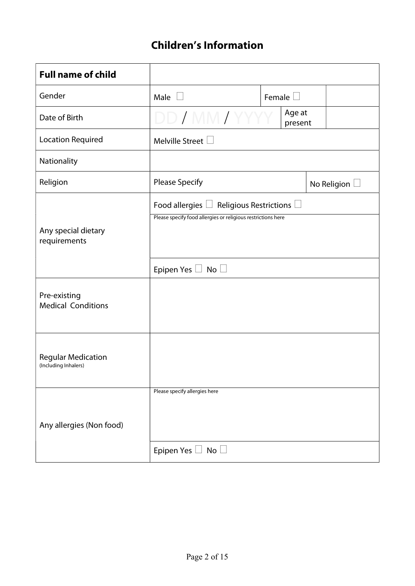# Children's Information

| <b>Full name of child</b>                         |                                                                                                                                                    |               |                   |                    |
|---------------------------------------------------|----------------------------------------------------------------------------------------------------------------------------------------------------|---------------|-------------------|--------------------|
| Gender                                            | Male $\square$                                                                                                                                     | Female $\Box$ |                   |                    |
| Date of Birth                                     | DD / MM / YYY                                                                                                                                      |               | Age at<br>present |                    |
| <b>Location Required</b>                          | Melville Street $\Box$                                                                                                                             |               |                   |                    |
| Nationality                                       |                                                                                                                                                    |               |                   |                    |
| Religion                                          | <b>Please Specify</b>                                                                                                                              |               |                   | No Religion $\Box$ |
| Any special dietary<br>requirements               | Food allergies $\Box$ Religious Restrictions $\Box$<br>Please specify food allergies or religious restrictions here<br>Epipen Yes $\Box$ No $\Box$ |               |                   |                    |
| Pre-existing<br><b>Medical Conditions</b>         |                                                                                                                                                    |               |                   |                    |
| <b>Regular Medication</b><br>(Including Inhalers) |                                                                                                                                                    |               |                   |                    |
| Any allergies (Non food)                          | Please specify allergies here<br>Epipen Yes $\Box$ No $\Box$                                                                                       |               |                   |                    |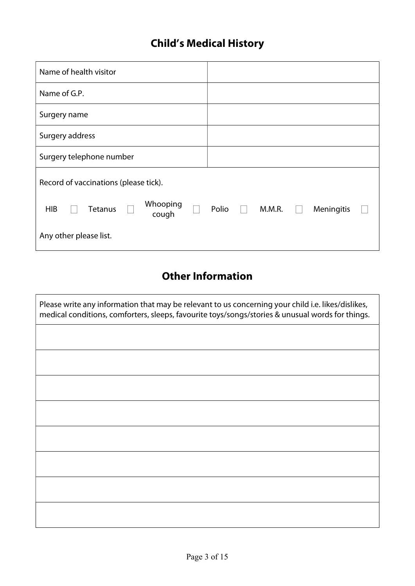# Child's Medical History

| Name of health visitor                            |                               |
|---------------------------------------------------|-------------------------------|
| Name of G.P.                                      |                               |
| Surgery name                                      |                               |
| Surgery address                                   |                               |
| Surgery telephone number                          |                               |
| Record of vaccinations (please tick).             |                               |
| Whooping<br><b>HIB</b><br><b>Tetanus</b><br>cough | Polio<br>M.M.R.<br>Meningitis |
| Any other please list.                            |                               |

# Other Information

| Please write any information that may be relevant to us concerning your child i.e. likes/dislikes,<br>medical conditions, comforters, sleeps, favourite toys/songs/stories & unusual words for things. |
|--------------------------------------------------------------------------------------------------------------------------------------------------------------------------------------------------------|
|                                                                                                                                                                                                        |
|                                                                                                                                                                                                        |
|                                                                                                                                                                                                        |
|                                                                                                                                                                                                        |
|                                                                                                                                                                                                        |
|                                                                                                                                                                                                        |
|                                                                                                                                                                                                        |
|                                                                                                                                                                                                        |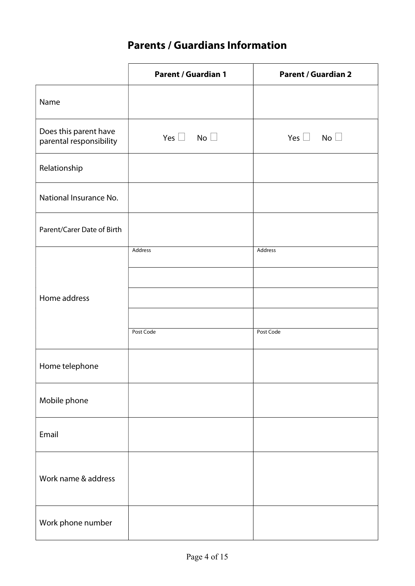# Parents / Guardians Information

|                                                  | <b>Parent / Guardian 1</b> | <b>Parent / Guardian 2</b> |
|--------------------------------------------------|----------------------------|----------------------------|
| Name                                             |                            |                            |
| Does this parent have<br>parental responsibility | Yes $\Box$ No $\Box$       | Yes $\Box$ No $\Box$       |
| Relationship                                     |                            |                            |
| National Insurance No.                           |                            |                            |
| Parent/Carer Date of Birth                       |                            |                            |
|                                                  | Address                    | Address                    |
|                                                  |                            |                            |
| Home address                                     |                            |                            |
|                                                  |                            |                            |
|                                                  | Post Code                  | Post Code                  |
|                                                  |                            |                            |
| Home telephone                                   |                            |                            |
| Mobile phone                                     |                            |                            |
| Email                                            |                            |                            |
| Work name & address                              |                            |                            |
| Work phone number                                |                            |                            |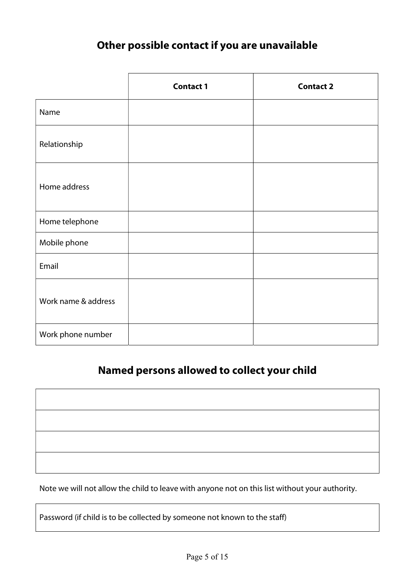# Other possible contact if you are unavailable

|                     | <b>Contact 1</b> | <b>Contact 2</b> |
|---------------------|------------------|------------------|
| Name                |                  |                  |
| Relationship        |                  |                  |
| Home address        |                  |                  |
| Home telephone      |                  |                  |
| Mobile phone        |                  |                  |
| Email               |                  |                  |
| Work name & address |                  |                  |
| Work phone number   |                  |                  |

### Named persons allowed to collect your child

Note we will not allow the child to leave with anyone not on this list without your authority.

Password (if child is to be collected by someone not known to the staff)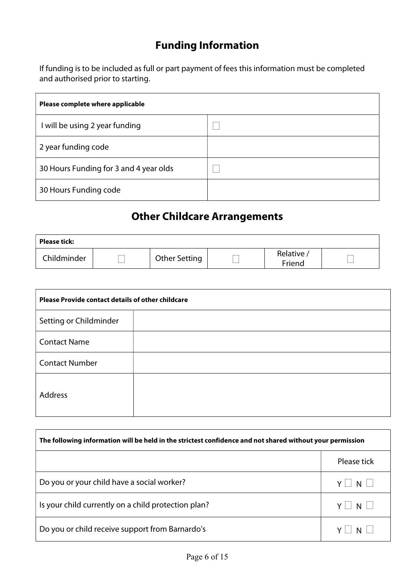# Funding Information

If funding is to be included as full or part payment of fees this information must be completed and authorised prior to starting.

| Please complete where applicable       |  |
|----------------------------------------|--|
| I will be using 2 year funding         |  |
| 2 year funding code                    |  |
| 30 Hours Funding for 3 and 4 year olds |  |
| 30 Hours Funding code                  |  |

### Other Childcare Arrangements

| <b>Please tick:</b> |               |                     |  |
|---------------------|---------------|---------------------|--|
| Childminder         | Other Setting | Relative,<br>Friend |  |

| <b>Please Provide contact details of other childcare</b> |  |  |
|----------------------------------------------------------|--|--|
| Setting or Childminder                                   |  |  |
| <b>Contact Name</b>                                      |  |  |
| <b>Contact Number</b>                                    |  |  |
| Address                                                  |  |  |

| The following information will be held in the strictest confidence and not shared without your permission |                      |  |
|-----------------------------------------------------------------------------------------------------------|----------------------|--|
|                                                                                                           | Please tick          |  |
| Do you or your child have a social worker?                                                                | $Y \mid \cdot$<br>NI |  |
| Is your child currently on a child protection plan?                                                       | $Y \mid N \mid$      |  |
| Do you or child receive support from Barnardo's                                                           |                      |  |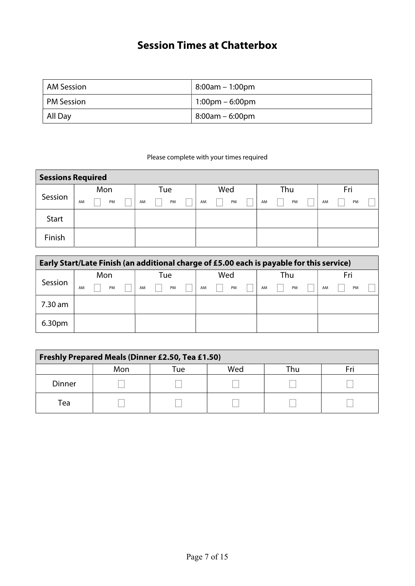# Session Times at Chatterbox

| AM Session        | 8:00am – 1:00pm                   |
|-------------------|-----------------------------------|
| <b>PM Session</b> | $1:00 \text{pm} - 6:00 \text{pm}$ |
| All Day           | $8:00$ am – 6:00pm                |

Please complete with your times required

| <b>Sessions Required</b> |     |    |  |     |    |  |     |    |  |     |  |    |  |     |    |  |
|--------------------------|-----|----|--|-----|----|--|-----|----|--|-----|--|----|--|-----|----|--|
|                          | Mon |    |  | Tue |    |  | Wed |    |  | Thu |  |    |  | Fri |    |  |
| Session                  | AM  | PM |  | AM  | PM |  | AM  | PM |  | AM  |  | PM |  | AM  | PM |  |
| Start                    |     |    |  |     |    |  |     |    |  |     |  |    |  |     |    |  |
| Finish                   |     |    |  |     |    |  |     |    |  |     |  |    |  |     |    |  |

| Early Start/Late Finish (an additional charge of £5.00 each is payable for this service) |     |    |     |    |     |  |    |     |  |    |  |     |  |    |  |    |  |
|------------------------------------------------------------------------------------------|-----|----|-----|----|-----|--|----|-----|--|----|--|-----|--|----|--|----|--|
|                                                                                          | Mon |    | Tue |    | Wed |  |    | Thu |  |    |  | Fri |  |    |  |    |  |
| Session                                                                                  | AM  | PM |     | AM | PM  |  | AM | PM  |  | AM |  | PM  |  | AM |  | PM |  |
| 7.30 am                                                                                  |     |    |     |    |     |  |    |     |  |    |  |     |  |    |  |    |  |
| 6.30 <sub>pm</sub>                                                                       |     |    |     |    |     |  |    |     |  |    |  |     |  |    |  |    |  |

| <b>Freshly Prepared Meals (Dinner £2.50, Tea £1.50)</b> |     |      |     |     |  |  |  |
|---------------------------------------------------------|-----|------|-----|-----|--|--|--|
|                                                         | Mon | Tuel | Wed | Гhu |  |  |  |
| <b>Dinner</b>                                           |     |      |     |     |  |  |  |
| Tea                                                     |     |      |     |     |  |  |  |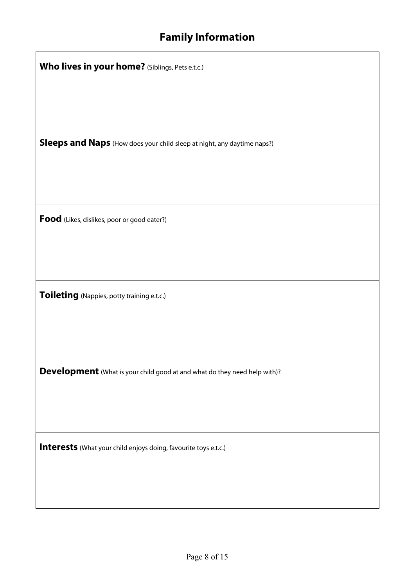# Family Information

| Who lives in your home? (Siblings, Pets e.t.c.)                                  |  |  |  |  |  |  |  |
|----------------------------------------------------------------------------------|--|--|--|--|--|--|--|
|                                                                                  |  |  |  |  |  |  |  |
|                                                                                  |  |  |  |  |  |  |  |
| Sleeps and Naps (How does your child sleep at night, any daytime naps?)          |  |  |  |  |  |  |  |
|                                                                                  |  |  |  |  |  |  |  |
|                                                                                  |  |  |  |  |  |  |  |
| Food (Likes, dislikes, poor or good eater?)                                      |  |  |  |  |  |  |  |
|                                                                                  |  |  |  |  |  |  |  |
|                                                                                  |  |  |  |  |  |  |  |
| Toileting (Nappies, potty training e.t.c.)                                       |  |  |  |  |  |  |  |
|                                                                                  |  |  |  |  |  |  |  |
|                                                                                  |  |  |  |  |  |  |  |
| <b>Development</b> (What is your child good at and what do they need help with)? |  |  |  |  |  |  |  |
|                                                                                  |  |  |  |  |  |  |  |
|                                                                                  |  |  |  |  |  |  |  |
| Interests (What your child enjoys doing, favourite toys e.t.c.)                  |  |  |  |  |  |  |  |
|                                                                                  |  |  |  |  |  |  |  |
|                                                                                  |  |  |  |  |  |  |  |
|                                                                                  |  |  |  |  |  |  |  |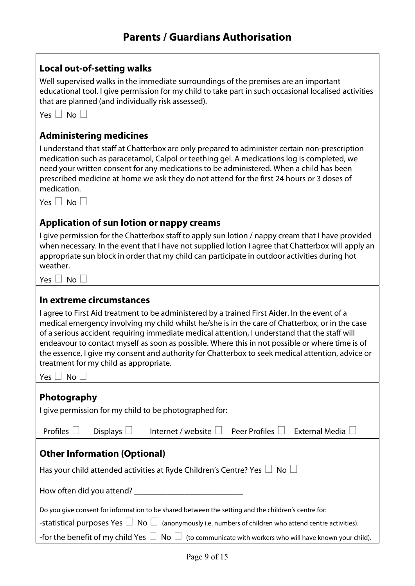Local out-of-setting walks

| Well supervised walks in the immediate surroundings of the premises are an important<br>educational tool. I give permission for my child to take part in such occasional localised activities<br>that are planned (and individually risk assessed).                                                                                                                                                                                                                                                                                                                                                       |  |  |  |  |  |  |  |  |
|-----------------------------------------------------------------------------------------------------------------------------------------------------------------------------------------------------------------------------------------------------------------------------------------------------------------------------------------------------------------------------------------------------------------------------------------------------------------------------------------------------------------------------------------------------------------------------------------------------------|--|--|--|--|--|--|--|--|
| No<br>Yes $\Box$                                                                                                                                                                                                                                                                                                                                                                                                                                                                                                                                                                                          |  |  |  |  |  |  |  |  |
| <b>Administering medicines</b>                                                                                                                                                                                                                                                                                                                                                                                                                                                                                                                                                                            |  |  |  |  |  |  |  |  |
| I understand that staff at Chatterbox are only prepared to administer certain non-prescription<br>medication such as paracetamol, Calpol or teething gel. A medications log is completed, we<br>need your written consent for any medications to be administered. When a child has been<br>prescribed medicine at home we ask they do not attend for the first 24 hours or 3 doses of<br>medication.<br>Yes $\Box$ No $\Box$                                                                                                                                                                              |  |  |  |  |  |  |  |  |
|                                                                                                                                                                                                                                                                                                                                                                                                                                                                                                                                                                                                           |  |  |  |  |  |  |  |  |
| Application of sun lotion or nappy creams<br>I give permission for the Chatterbox staff to apply sun lotion / nappy cream that I have provided<br>when necessary. In the event that I have not supplied lotion I agree that Chatterbox will apply an<br>appropriate sun block in order that my child can participate in outdoor activities during hot<br>weather.<br>Yes $\Box$ No $\Box$                                                                                                                                                                                                                 |  |  |  |  |  |  |  |  |
|                                                                                                                                                                                                                                                                                                                                                                                                                                                                                                                                                                                                           |  |  |  |  |  |  |  |  |
| In extreme circumstances<br>I agree to First Aid treatment to be administered by a trained First Aider. In the event of a<br>medical emergency involving my child whilst he/she is in the care of Chatterbox, or in the case<br>of a serious accident requiring immediate medical attention, I understand that the staff will<br>endeavour to contact myself as soon as possible. Where this in not possible or where time is of<br>the essence, I give my consent and authority for Chatterbox to seek medical attention, advice or<br>treatment for my child as appropriate.<br><b>No</b><br>Yes $\Box$ |  |  |  |  |  |  |  |  |
| Photography                                                                                                                                                                                                                                                                                                                                                                                                                                                                                                                                                                                               |  |  |  |  |  |  |  |  |
| I give permission for my child to be photographed for:                                                                                                                                                                                                                                                                                                                                                                                                                                                                                                                                                    |  |  |  |  |  |  |  |  |
| Profiles $\Box$<br>Displays $\Box$<br>Internet / website □ Peer Profiles □ External Media ↓                                                                                                                                                                                                                                                                                                                                                                                                                                                                                                               |  |  |  |  |  |  |  |  |
| <b>Other Information (Optional)</b>                                                                                                                                                                                                                                                                                                                                                                                                                                                                                                                                                                       |  |  |  |  |  |  |  |  |
| Has your child attended activities at Ryde Children's Centre? Yes $\Box$ No $\Box$                                                                                                                                                                                                                                                                                                                                                                                                                                                                                                                        |  |  |  |  |  |  |  |  |
|                                                                                                                                                                                                                                                                                                                                                                                                                                                                                                                                                                                                           |  |  |  |  |  |  |  |  |
| Do you give consent for information to be shared between the setting and the children's centre for:                                                                                                                                                                                                                                                                                                                                                                                                                                                                                                       |  |  |  |  |  |  |  |  |
| -statistical purposes Yes $\Box$ No $\Box$ (anonymously i.e. numbers of children who attend centre activities).                                                                                                                                                                                                                                                                                                                                                                                                                                                                                           |  |  |  |  |  |  |  |  |
| -for the benefit of my child Yes $\Box$ No $\Box$ (to communicate with workers who will have known your child).                                                                                                                                                                                                                                                                                                                                                                                                                                                                                           |  |  |  |  |  |  |  |  |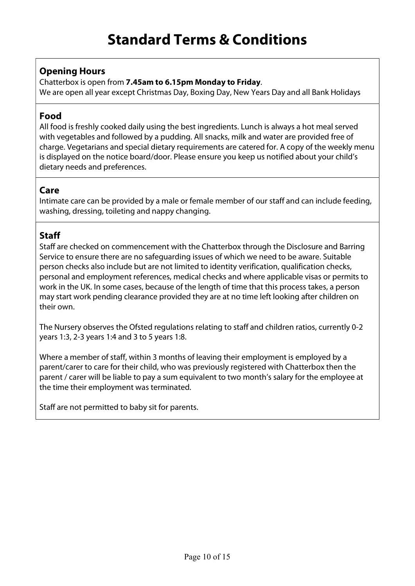#### Opening Hours

Chatterbox is open from 7.45am to 6.15pm Monday to Friday.

We are open all year except Christmas Day, Boxing Day, New Years Day and all Bank Holidays

#### Food

All food is freshly cooked daily using the best ingredients. Lunch is always a hot meal served with vegetables and followed by a pudding. All snacks, milk and water are provided free of charge. Vegetarians and special dietary requirements are catered for. A copy of the weekly menu is displayed on the notice board/door. Please ensure you keep us notified about your child's dietary needs and preferences.

#### Care

Intimate care can be provided by a male or female member of our staff and can include feeding, washing, dressing, toileting and nappy changing.

#### **Staff**

Staff are checked on commencement with the Chatterbox through the Disclosure and Barring Service to ensure there are no safeguarding issues of which we need to be aware. Suitable person checks also include but are not limited to identity verification, qualification checks, personal and employment references, medical checks and where applicable visas or permits to work in the UK. In some cases, because of the length of time that this process takes, a person may start work pending clearance provided they are at no time left looking after children on their own.

The Nursery observes the Ofsted regulations relating to staff and children ratios, currently 0-2 years 1:3, 2-3 years 1:4 and 3 to 5 years 1:8.

Where a member of staff, within 3 months of leaving their employment is employed by a parent/carer to care for their child, who was previously registered with Chatterbox then the parent / carer will be liable to pay a sum equivalent to two month's salary for the employee at the time their employment was terminated.

Staff are not permitted to baby sit for parents.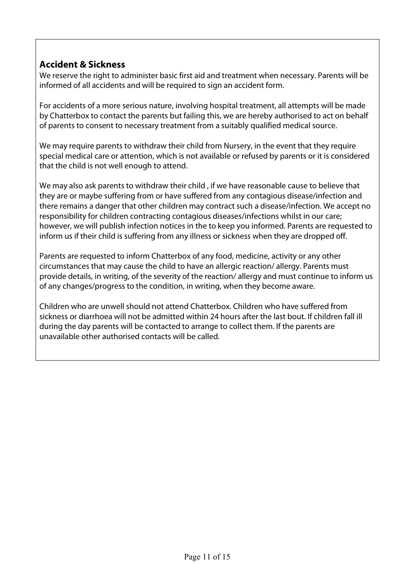#### Accident & Sickness

We reserve the right to administer basic first aid and treatment when necessary. Parents will be informed of all accidents and will be required to sign an accident form.

For accidents of a more serious nature, involving hospital treatment, all attempts will be made by Chatterbox to contact the parents but failing this, we are hereby authorised to act on behalf of parents to consent to necessary treatment from a suitably qualified medical source.

We may require parents to withdraw their child from Nursery, in the event that they require special medical care or attention, which is not available or refused by parents or it is considered that the child is not well enough to attend.

We may also ask parents to withdraw their child , if we have reasonable cause to believe that they are or maybe suffering from or have suffered from any contagious disease/infection and there remains a danger that other children may contract such a disease/infection. We accept no responsibility for children contracting contagious diseases/infections whilst in our care; however, we will publish infection notices in the to keep you informed. Parents are requested to inform us if their child is suffering from any illness or sickness when they are dropped off.

Parents are requested to inform Chatterbox of any food, medicine, activity or any other circumstances that may cause the child to have an allergic reaction/ allergy. Parents must provide details, in writing, of the severity of the reaction/ allergy and must continue to inform us of any changes/progress to the condition, in writing, when they become aware.

Children who are unwell should not attend Chatterbox. Children who have suffered from sickness or diarrhoea will not be admitted within 24 hours after the last bout. If children fall ill during the day parents will be contacted to arrange to collect them. If the parents are unavailable other authorised contacts will be called.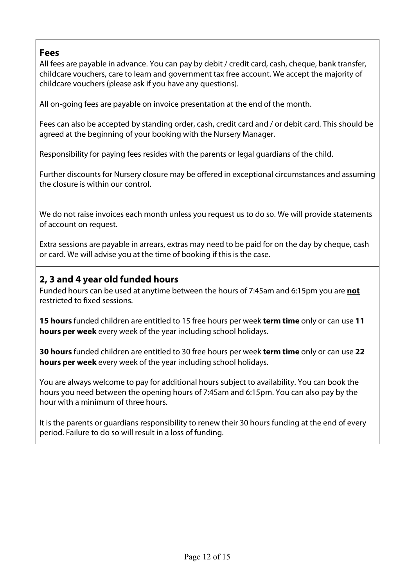#### Fees

All fees are payable in advance. You can pay by debit / credit card, cash, cheque, bank transfer, childcare vouchers, care to learn and government tax free account. We accept the majority of childcare vouchers (please ask if you have any questions).

All on-going fees are payable on invoice presentation at the end of the month.

Fees can also be accepted by standing order, cash, credit card and / or debit card. This should be agreed at the beginning of your booking with the Nursery Manager.

Responsibility for paying fees resides with the parents or legal guardians of the child.

Further discounts for Nursery closure may be offered in exceptional circumstances and assuming the closure is within our control.

We do not raise invoices each month unless you request us to do so. We will provide statements of account on request.

Extra sessions are payable in arrears, extras may need to be paid for on the day by cheque, cash or card. We will advise you at the time of booking if this is the case.

#### 2, 3 and 4 year old funded hours

Funded hours can be used at anytime between the hours of 7:45am and 6:15pm you are not restricted to fixed sessions.

15 hours funded children are entitled to 15 free hours per week term time only or can use 11 hours per week every week of the year including school holidays.

30 hours funded children are entitled to 30 free hours per week term time only or can use 22 hours per week every week of the year including school holidays.

You are always welcome to pay for additional hours subject to availability. You can book the hours you need between the opening hours of 7:45am and 6:15pm. You can also pay by the hour with a minimum of three hours.

It is the parents or guardians responsibility to renew their 30 hours funding at the end of every period. Failure to do so will result in a loss of funding.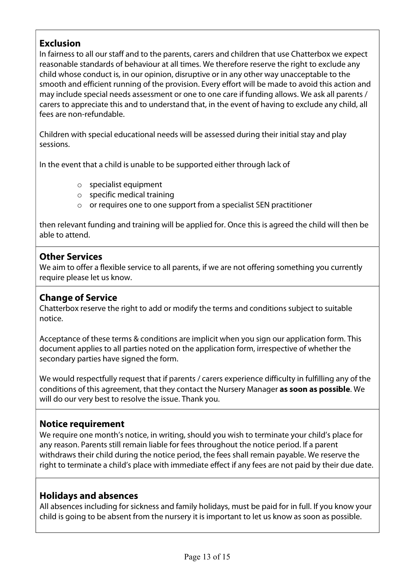#### **Exclusion**

In fairness to all our staff and to the parents, carers and children that use Chatterbox we expect reasonable standards of behaviour at all times. We therefore reserve the right to exclude any child whose conduct is, in our opinion, disruptive or in any other way unacceptable to the smooth and efficient running of the provision. Every effort will be made to avoid this action and may include special needs assessment or one to one care if funding allows. We ask all parents / carers to appreciate this and to understand that, in the event of having to exclude any child, all fees are non-refundable.

Children with special educational needs will be assessed during their initial stay and play sessions.

In the event that a child is unable to be supported either through lack of

- o specialist equipment
- o specific medical training
- o or requires one to one support from a specialist SEN practitioner

then relevant funding and training will be applied for. Once this is agreed the child will then be able to attend.

#### Other Services

We aim to offer a flexible service to all parents, if we are not offering something you currently require please let us know.

#### Change of Service

Chatterbox reserve the right to add or modify the terms and conditions subject to suitable notice.

Acceptance of these terms & conditions are implicit when you sign our application form. This document applies to all parties noted on the application form, irrespective of whether the secondary parties have signed the form.

We would respectfully request that if parents / carers experience difficulty in fulfilling any of the conditions of this agreement, that they contact the Nursery Manager as soon as possible. We will do our very best to resolve the issue. Thank you.

#### Notice requirement

We require one month's notice, in writing, should you wish to terminate your child's place for any reason. Parents still remain liable for fees throughout the notice period. If a parent withdraws their child during the notice period, the fees shall remain payable. We reserve the right to terminate a child's place with immediate effect if any fees are not paid by their due date.

#### Holidays and absences

All absences including for sickness and family holidays, must be paid for in full. If you know your child is going to be absent from the nursery it is important to let us know as soon as possible.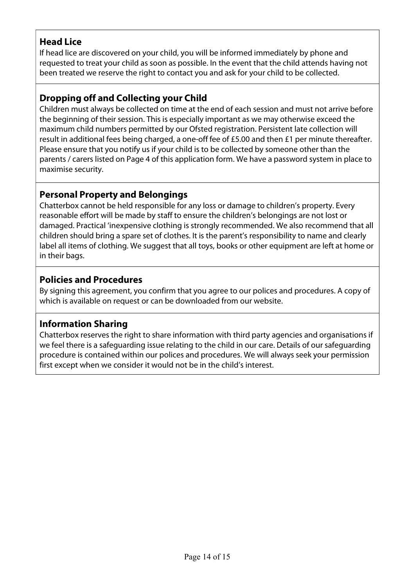#### Head Lice

If head lice are discovered on your child, you will be informed immediately by phone and requested to treat your child as soon as possible. In the event that the child attends having not been treated we reserve the right to contact you and ask for your child to be collected.

#### Dropping off and Collecting your Child

Children must always be collected on time at the end of each session and must not arrive before the beginning of their session. This is especially important as we may otherwise exceed the maximum child numbers permitted by our Ofsted registration. Persistent late collection will result in additional fees being charged, a one-off fee of £5.00 and then £1 per minute thereafter. Please ensure that you notify us if your child is to be collected by someone other than the parents / carers listed on Page 4 of this application form. We have a password system in place to maximise security.

#### Personal Property and Belongings

Chatterbox cannot be held responsible for any loss or damage to children's property. Every reasonable effort will be made by staff to ensure the children's belongings are not lost or damaged. Practical 'inexpensive clothing is strongly recommended. We also recommend that all children should bring a spare set of clothes. It is the parent's responsibility to name and clearly label all items of clothing. We suggest that all toys, books or other equipment are left at home or in their bags.

#### Policies and Procedures

By signing this agreement, you confirm that you agree to our polices and procedures. A copy of which is available on request or can be downloaded from our website.

#### Information Sharing

Chatterbox reserves the right to share information with third party agencies and organisations if we feel there is a safeguarding issue relating to the child in our care. Details of our safeguarding procedure is contained within our polices and procedures. We will always seek your permission first except when we consider it would not be in the child's interest.